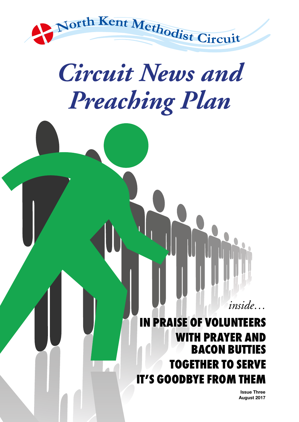

## *Circuit News and Preaching Plan*

**IN PRAISE OF VOLUNTEERS WITH PRAYER AND BACON BUTTIES TOGETHER TO SERVE IT'S GOODBYE FROM TH** 

> **Issue Three August 2017**

*inside…*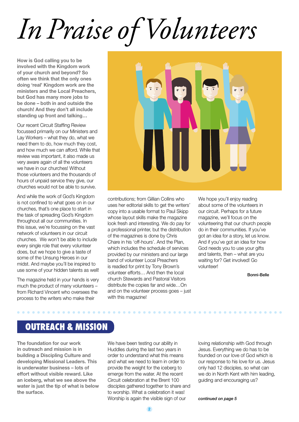# *In Praise of Volunteers*

**How is God calling you to be involved with the Kingdom work of your church and beyond? So often we think that the only ones doing 'real' Kingdom work are the ministers and the Local Preachers, but God has many more jobs to be done – both in and outside the church! And they don't all include standing up front and talking…**

Our recent Circuit Staffing Review focussed primarily on our Ministers and Lay Workers – what they do, what we need them to do, how much they cost, and how much we can afford. While that review was important, it also made us very aware again of all the volunteers we have in our churches! Without those volunteers and the thousands of hours of unpaid service they give, our churches would not be able to survive.

And while the work of God's Kingdom is not confined to what goes on in our churches, that's one place to start in the task of spreading God's Kingdom throughout all our communities. In this issue, we're focussing on the vast network of volunteers in our circuit churches. We won't be able to include every single role that every volunteer does, but we hope to give a taste of some of the Unsung Heroes in our midst. And maybe you'll be inspired to use some of your hidden talents as well!

The magazine held in your hands is very much the product of many volunteers – from Richard Vincent who oversees the process to the writers who make their



contributions; from Gillian Collins who uses her editorial skills to get the writers' copy into a usable format to Paul Skipp whose layout skills make the magazine look fresh and interesting. We do pay for a professional printer, but the distribution of the magazines is done by Chris Chare in his 'off-hours'. And the Plan, which includes the schedule of services provided by our ministers and our large band of volunteer Local Preachers is readied for print by Tony Brown's volunteer efforts… And then the local church Stewards and Pastoral Visitors distribute the copies far and wide…On and on the volunteer process goes – just with this magazine!

We hope you'll enjoy reading about some of the volunteers in our circuit. Perhaps for a future magazine, we'll focus on the volunteering that our church people do in their communities. If you've got an idea for a story, let us know. And if you've got an idea for how God needs you to use your gifts and talents, then – what are you waiting for? Get involved! Go volunteer!

Bonni-Belle

### **OUTREACH & MISSION**

. . . . . . . . . . . . . .

**The foundation for our work in outreach and mission is in building a Discipling Culture and developing Missional Leaders. This is underwater business – lots of effort without visible reward. Like an iceberg, what we see above the water is just the tip of what is below the surface.**

We have been testing our ability in Huddles during the last two years in order to understand what this means and what we need to learn in order to provide the weight for the iceberg to emerge from the water. At the recent Circuit celebration at the Brent 100 disciples gathered together to share and to worship. What a celebration it was! Worship is again the visible sign of our

loving relationship with God through Jesus. Everything we do has to be founded on our love of God which is our response to his love for us. Jesus only had 12 disciples, so what can we do in North Kent with him leading, guiding and encouraging us?

*continued on page 5*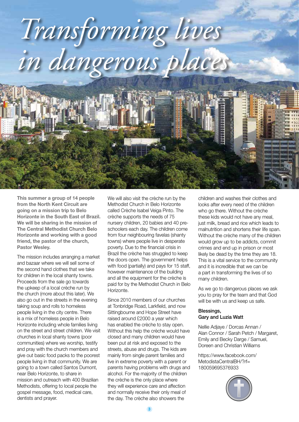

**This summer a group of 14 people from the North Kent Circuit are going on a mission trip to Belo Horizonte in the South East of Brazil. We will be sharing in the mission of The Central Methodist Church Belo Horizonte and working with a good friend, the pastor of the church, Pastor Wesley.**

The mission includes arranging a market and bazaar where we will sell some of the second hand clothes that we take for children in the local shanty towns. Proceeds from the sale go towards the upkeep of a local crèche run by the church (more about this later). We also go out in the streets in the evening taking soup and rolls to homeless people living in the city centre. There is a mix of homeless people in Belo Horizonte including whole families living on the street and street children. We visit churches in local shanty towns (poor communities) where we worship, testify and pray with the church members and give out basic food packs to the poorest people living in that community. We are going to a town called Santos Dumont, near Belo Horizonte, to share in mission and outreach with 400 Brazilian Methodists, offering to local people the gospel message, food, medical care, dentists and prayer.

We will also visit the crèche run by the Methodist Church in Belo Horizonte called Crèche Isabel Veiga Pinto. The crèche supports the needs of 75 nursery children, 20 babies and 40 preschoolers each day. The children come from four neighbouring favelas (shanty towns) where people live in desperate poverty. Due to the financial crisis in Brazil the crèche has struggled to keep the doors open. The government helps with food (partially) and pays for 15 staff, however maintenance of the building and all the equipment for the crèche is paid for by the Methodist Church in Belo Horizonte.

Since 2010 members of our churches at Tonbridge Road, Larkfield, and now Sittingbourne and Hope Street have raised around £2000 a year which has enabled the crèche to stay open. Without this help the crèche would have closed and many children would have been put at risk and exposed to the streets, abuse and drugs. The kids are mainly from single parent families and live in extreme poverty with a parent or parents having problems with drugs and alcohol. For the majority of the children the crèche is the only place where they will experience care and affection and normally receive their only meal of the day. The crèche also showers the

children and washes their clothes and looks after every need of the children who go there. Without the crèche these kids would not have any meal, just milk, bread and rice which leads to malnutrition and shortens their life span. Without the crèche many of the children would grow up to be addicts, commit crimes and end up in prison or most likely be dead by the time they are 18. This is a vital service to the community and it is incredible that we can be a part in transforming the lives of so many children.

As we go to dangerous places we ask you to pray for the team and that God will be with us and keep us safe.

#### Blessings, Gary and Luzia Watt

Nellie Adjaye / Dorcas Annan / Alan Connor / Sarah Petch / Margaret, Emily and Becky Darge / Samuel, Doreen and Christian Williams

https://www.facebook.com/ MetodistaCentralBH/?rf= 180059695376933

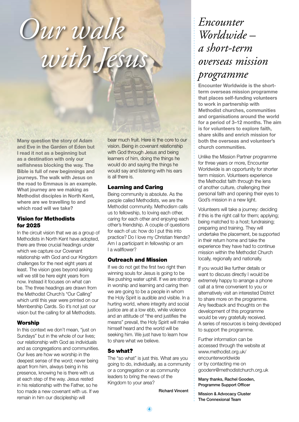## *Our walk with Jesus*

**Many question the story of Adam and Eve in the Garden of Eden but I read it not as a beginning but as a destination with only our selfishness blocking the way. The Bible is full of new beginnings and journeys. The walk with Jesus on the road to Emmaus is an example. What journey are we making as Methodist disciples in North Kent, where are we travelling to and which road will we take?**

#### Vision for Methodists for 2025

In the circuit vision that we as a group of Methodists in North Kent have adopted, there are three crucial headings under which we capture our Covenant relationship with God and our Kingdom challenges for the next eight years at least. The vision goes beyond asking will we still be here eight years from now. Instead it focuses on what can be. The three headings are drawn from the Methodist Church's "Our Calling" which until this year were printed on our Membership Cards. So it's not just our vision but the calling for all Methodists.

#### **Worship**

In this context we don't mean, "just on Sundays" but in the whole of our lives; our relationship with God as individuals and as congregations and communities. Our lives are how we worship in the deepest sense of the word; never being apart from him, always being in his presence, knowing he is there with us at each step of the way. Jesus rested in his relationship with the Father, so he too made a new covenant with us. If we remain in him our discipleship will

bear much fruit. Here is the core to our vision. Being in covenant relationship with God through Jesus and being learners of him, doing the things he would do and saying the things he would say and listening with his ears is all there is.

#### Learning and Caring

Being community is absolute. As the people called Methodists, we are the Methodist community. Methodism calls us to fellowship, to loving each other, caring for each other and enjoying each other's friendship. A couple of questions for each of us: how do I put this into practice? Do I love my Christian friends? Am I a participant in fellowship or am I a wallflower?

#### Outreach and Mission

If we do not get the first two right then winning souls for Jesus is going to be like pushing water uphill. If we are strong in worship and learning and caring then we are going to be a people in whom the Holy Spirit is audible and visible. In a hurting world, where integrity and social justice are at a low ebb, while violence and an attitude of "the end justifies the means" prevail, the Holy Spirit will make himself heard and the world will be seeking him. We just have to learn how to share what we believe.

#### So what?

The "so what" is just this. What are you going to do, individually, as a community or a congregation or as community leaders to bring the news of the Kingdom to your area?

Richard Vincent

### *Encounter Worldwide – a short-term overseas mission programme*

**Encounter Worldwide is the shortterm overseas mission programme that places self-funding volunteers to work in partnership with Methodist churches, communities and organisations around the world for a period of 3–12 months. The aim is for volunteers to explore faith, share skills and enrich mission for both the overseas and volunteer's church communities.**

Unlike the Mission Partner programme for three years or more, Encounter Worldwide is an opportunity for shorter term mission. Volunteers experience the Methodist faith through the lens of another culture, challenging their personal faith and opening their eyes to God's mission in a new light.

Volunteers will take a journey: deciding if this is the right call for them; applying; being matched to a host; fundraising; preparing and training. They will undertake the placement, be supported in their return home and take the experience they have had to continue mission within the Methodist Church locally, regionally and nationally.

If you would like further details or want to discuss directly I would be extremely happy to arrange a phone call at a time convenient to you or alternatively visit an interested District to share more on the programme. Any feedback and thoughts on the development of this programme would be very gratefully received. A series of resources is being developed to support the programme.

Further information can be accessed through the website at www.methodist.org.uk/ encounterworldwide or by contacting me on goodenr@methodistchurch.org.uk

Many thanks, Rachel Gooden, Programme Support Officer

Mission & Advocacy Cluster The Connexional Team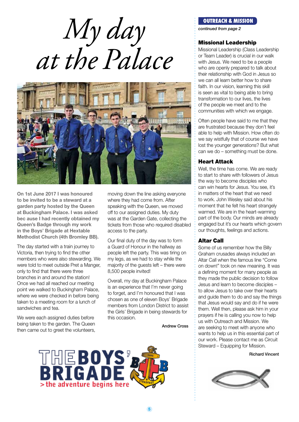*My day at the Palace*



**On 1st June 2017 I was honoured to be invited to be a steward at a garden party hosted by the Queen at Buckingham Palace. I was asked bec ause I had recently obtained my Queen's Badge through my work in the Boys' Brigade at Hextable Methodist Church (4th Bromley BB).**

The day started with a train journey to Victoria, then trying to find the other members who were also stewarding. We were told to meet outside Pret a Manger, only to find that there were three branches in and around the station! Once we had all reached our meeting point we walked to Buckingham Palace, where we were checked in before being taken to a meeting room for a lunch of sandwiches and tea.

We were each assigned duties before being taken to the garden. The Queen then came out to greet the volunteers,

moving down the line asking everyone where they had come from. After speaking with the Queen, we moved off to our assigned duties. My duty was at the Garden Gate, collecting the tickets from those who required disabled access to the party.

Our final duty of the day was to form a Guard of Honour in the hallway as people left the party. This was tiring on my legs, as we had to stay while the majority of the guests left – there were 8,500 people invited!

Overall, my day at Buckingham Palace is an experience that I'm never going to forget, and I'm honoured that I was chosen as one of eleven Boys' Brigade members from London District to assist the Girls' Brigade in being stewards for this occasion.

Andrew Cross



#### **OUTREACH & MISSION**

*continued from page 2*

#### Missional Leadership

Missional Leadership (Class Leadership or Team Leader) is crucial in our walk with Jesus. We need to be a people who are openly prepared to talk about their relationship with God in Jesus so we can all learn better how to share faith. In our vision, learning this skill is seen as vital to being able to bring transformation to our lives, the lives of the people we meet and to the communities with which we engage.

Often people have said to me that they are frustrated because they don't feel able to help with Mission. How often do we say wistfully that of course we have lost the younger generations? But what can we do – something must be done.

#### Heart Attack

Well, the time has come. We are ready to start to share with followers of Jesus the way to become disciples who can win hearts for Jesus. You see, it's in matters of the heart that we need to work. John Wesley said about his moment that he felt his heart strangely warmed. We are in the heart-warming part of the body. Our minds are already engaged but it's our hearts which govern our thoughts, feelings and actions.

#### Altar Call

Some of us remember how the Billy Graham crusades always included an Altar Call when the famous line "Come on down!" took on new meaning. It was a defining moment for many people as they made the public decision to follow Jesus and learn to become disciples – to allow Jesus to take over their hearts and guide them to do and say the things that Jesus would say and do if he were them. Well then, please ask him in your prayers if he is calling you now to help us with Outreach and Mission. We are seeking to meet with anyone who wants to help us in this essential part of our work. Please contact me as Circuit Steward – Equipping for Mission.

Richard Vincent

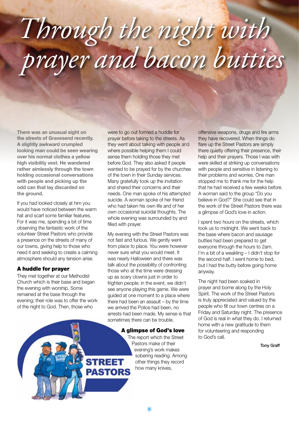## *Through the night with prayer and bacon butties*

**There was an unusual sight on the streets of Gravesend recently. A slightly awkward crumpled looking man could be seen wearing over his normal clothes a yellow high visibility vest. He wandered rather aimlessly through the town holding occasional conversations with people and picking up the odd can that lay discarded on the ground.** 

If you had looked closely at him you would have noticed between the warm hat and scarf some familiar features. For it was me, spending a bit of time observing the fantastic work of the volunteer Street Pastors who provide a presence on the streets of many of our towns, giving help to those who need it and seeking to create a calming atmosphere should any tension arise.

#### A huddle for prayer

They met together at our Methodist Church which is their base and began the evening with worship. Some remained at the base through the evening; their role was to offer the work of the night to God. Then, those who

were to go out formed a huddle for prayer before taking to the streets. As they went about talking with people and where possible helping them I could sense them holding those they met before God. They also asked if people wanted to be prayed for by the churches of the town in their Sunday services. Many gratefully took up the invitation and shared their concerns and their needs. One man spoke of his attempted suicide. A woman spoke of her friend who had taken his own life and of her own occasional suicidal thoughts. The whole evening was surrounded by and filled with prayer.

My evening with the Street Pastors was not fast and furious. We gently went from place to place. You were however never sure what you would meet. It was nearly Halloween and there was talk about the possibility of confronting those who at the time were dressing up as scary clowns just in order to frighten people; in the event, we didn't see anyone playing this game. We were guided at one moment to a place where there had been an assault – by the time we arrived the Police had been, no arrests had been made. My sense is that sometimes there can be trouble.

#### A glimpse of God's love

The report which the Street Pastors make of their evening's work makes sobering reading. Among other things they record how many knives,

offensive weapons, drugs and fire arms they have recovered. When things do flare up the Street Pastors are simply there quietly offering their presence, their help and their prayers. Those I was with were skilled at striking up conversations with people and sensitive in listening to their problems and worries. One man stopped me to thank me for the help that he had received a few weeks before. A woman said to the group "Do you believe in God?" She could see that in the work of the Street Pastors there was a glimpse of God's love in action.

I spent two hours on the streets, which took us to midnight. We went back to the base where bacon and sausage butties had been prepared to get everyone through the hours to 2am. I'm a bit of a weakling – I didn't stop for the second half. I went home to bed, but I had the butty before going home anyway.

The night had been soaked in prayer and borne along by the Holy Spirit. The work of the Street Pastors is truly appreciated and valued by the people who fill our town centres on a Friday and Saturday night. The presence of God is real in what they do. I returned home with a new gratitude to them for volunteering and responding to God's call.

Tony Graff

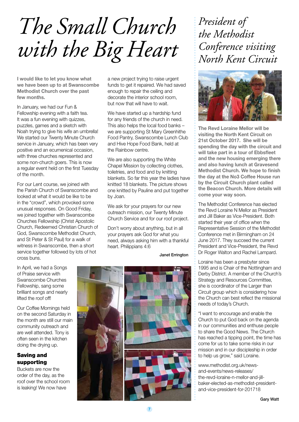*The Small Church with the Big Heart*

**I would like to let you know what we have been up to at Swanscombe Methodist Church over the past few months.**

In January, we had our Fun & Fellowship evening with a faith tea. It was a fun evening with quizzes, puzzles, games and a sketch with Noah trying to give his wife an umbrella! We started our Twenty Minute Church service in January, which has been very positive and an ecumenical occasion, with three churches represented and some non-church goers. This is now a regular event held on the first Tuesday of the month.

For our Lent course, we joined with the Parish Church of Swanscombe and looked at what it would be like to be in the "crowd", which provoked some unusual responses. On Good Friday, we joined together with Swanscombe Churches Fellowship (Christ Apostolic Church, Redeemed Christian Church of God, Swanscombe Methodist Church, and St Peter & St Paul) for a walk of witness in Swanscombe, then a short service together followed by lots of hot cross buns.

a new project trying to raise urgent funds to get it repaired. We had saved enough to repair the ceiling and decorate the interior school room, but now that will have to wait.

We have started up a hardship fund for any friends of the church in need. This also helps the local food banks – we are supporting St Mary Greenhithe Food Pantry, Swanscombe Lunch Club and Hive Hope Food Bank, held at the Rainbow centre.

We are also supporting the White Chapel Mission by collecting clothes, toiletries, and food and by knitting blankets. So far this year the ladies have knitted 18 blankets. The picture shows one knitted by Pauline and put together by Joan.

We ask for your prayers for our new outreach mission, our Twenty Minute Church Service and for our roof project.

Don't worry about anything, but in all your prayers ask God for what you need, always asking him with a thankful heart. Philippians 4:6

Janet Errington

In April, we had a Songs of Praise service with Swanscombe Churches Fellowship, sang some brilliant songs and nearly lifted the roof off!

Our Coffee Mornings held on the second Saturday in the month are still our main community outreach and are well attended. Tony is often seen in the kitchen doing the drying up.

#### Saving and supporting

Buckets are now the order of the day, as the roof over the school room is leaking! We now have



### *President of the Methodist Conference visiting North Kent Circuit*



**The Revd Loraine Mellor will be visiting the North Kent Circuit on 21st October 2017. She will be spending the day with the circuit and will take part in a tour of Ebbsfleet and the new housing emerging there and also having lunch at Gravesend Methodist Church. We hope to finish the day at the No3 Coffee House run by the Circuit Church plant called the Beacon Church. More details will come your way soon.** 

The Methodist Conference has elected the Revd Loraine N Mellor as President and Jill Baker as Vice-President. Both started their year of office when the Representative Session of the Methodist Conference met in Birmingham on 24 June 2017. They succeed the current President and Vice-President, the Revd Dr Roger Walton and Rachel Lampard.

Loraine has been a presbyter since 1995 and is Chair of the Nottingham and Derby District. A member of the Church's Strategy and Resources Committee, she is coordinator of the Larger than Circuit group which is considering how the Church can best reflect the missional needs of today's Church.

"I want to encourage and enable the Church to put God back on the agenda in our communities and enthuse people to share the Good News. The Church has reached a tipping point, the time has come for us to take some risks in our mission and in our discipleship in order to help us grow," said Loraine.

www.methodist.org.uk/newsand-events/news-releases/ the-revd-loraine-n-mellor-and-jillbaker-elected-as-methodist-presidentand-vice-president-for-201718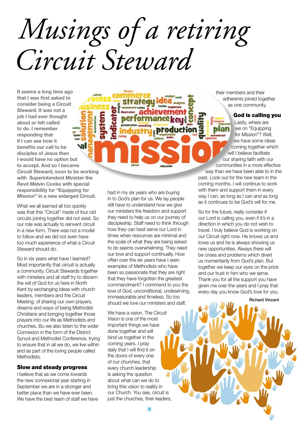*Musings of a retiring Circuit Steward*

**It seems a long time ago that I was first asked to consider being a Circuit Steward. It was not a job I had ever thought about or felt called to do. I remember responding that if I can see how it val benefits our call to be disciples of Jesus then I would have no option but to accept. And so I became Circuit Steward, soon to be working with Superintendent Minister the Revd Melvin Cooke with special responsibility for "Equipping for Mission" in a new enlarged Circuit.**

What we all learned all too quickly was that this "Circuit" made of four old circuits joining together did not exist. So our role was actually to reinvent circuit in a new form. There was not a model to follow and we did not even have too much experience of what a Circuit Steward should do.

So in six years what have I learned? Most importantly that circuit is actually a community. Circuit Stewards together with ministers and all staff try to discern the will of God for us here in North Kent by exchanging ideas with church leaders, members and the Circuit Meeting, of sharing our own prayers, dreams and ways of being Methodist Christians and bringing together those prayers into our life as Methodists and churches. Bu we also listen to the wider Connexion in the form of the District Synod and Methodist Conference, trying to ensure that in all we do, we live within and as part of the loving people called Methodists.

#### Slow and steady progress

I believe that as we come towards the new connexional year starting in September we are in a stronger and better place than we have ever been. We have the best team of staff we have had in my six years who are buying in to God's plan for us. We lay people still have to understand how we give our ministers the freedom and support they need to help us on our journey of discipleship. Staff need to think through how they can best serve our Lord in times when resources are minimal and the scale of what they are being asked to do seems overwhelming. They need our love and support continually. How often over the six years have I seen examples of Methodists who have been so passionate that they are right that they have forgotten the greatest commandment? I commend to you the love of God, unconditional, undeserving, immeasurable and timeless. So too should we love our ministers and staff.

production

We have a vision. The Circuit Vision is one of the most important things we have done together and will bind us together in the coming years. I pray daily that I will find it on the doors of every one of our churches, that every church leadership is asking the question about what can we do to bring this vision to reality in our Church. You see, circuit is just the churches, their leaders,

**8**

their members and their adherents joined together as one community.

#### God is calling you

Lastly, where are we on "Equipping for Mission"? Well, we have some ideas coming together which will I believe facilitate our sharing faith with our communities in a more effective

way than we have been able to in the past. Look out for the new team in the coming months. I will continue to work with them and support them in every way I can, as long as I can and as long as it continues to be God's will for me.

So for the future, really consider if our Lord is calling you, even if it's in a direction in which you do not wish to travel. I truly believe God is working on our Circuit right now. He knows us and loves us and he is always showing us new opportunities. Always there will be crises and problems which divert us momentarily from God's plan. But together we keep our eyes on the prize and our trust in him who we serve. Thank you for all the support you have given me over the years and I pray that every day you know God's love for you.

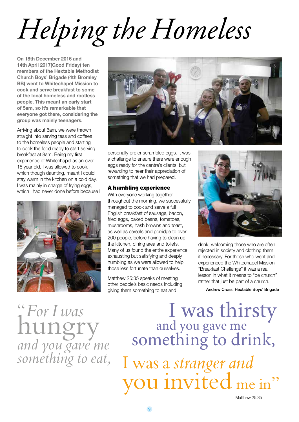# *Helping the Homeless*

**On 18th December 2016 and 14th April 2017(Good Friday) ten members of the Hextable Methodist Church Boys' Brigade (4th Bromley BB) went to Whitechapel Mission to cook and serve breakfast to some of the local homeless and rootless people. This meant an early start of 5am, so it's remarkable that everyone got there, considering the group was mainly teenagers.**

Arriving about 6am, we were thrown straight into serving teas and coffees to the homeless people and starting to cook the food ready to start serving breakfast at 8am. Being my first experience of Whitechapel as an over 18 year old, I was allowed to cook, which though daunting, meant I could stay warm in the kitchen on a cold day. I was mainly in charge of frying eggs, which I had never done before because I





personally prefer scrambled eggs. It was a challenge to ensure there were enough eggs ready for the centre's clients, but rewarding to hear their appreciation of something that we had prepared.

#### A humbling experience

With everyone working together throughout the morning, we successfully managed to cook and serve a full English breakfast of sausage, bacon, fried eggs, baked beans, tomatoes, mushrooms, hash browns and toast, as well as cereals and porridge to over 200 people, before having to clean up the kitchen, dining area and toilets. Many of us found the entire experience exhausting but satisfying and deeply humbling as we were allowed to help those less fortunate than ourselves.

Matthew 25:35 speaks of meeting other people's basic needs including giving them something to eat and



drink, welcoming those who are often rejected in society and clothing them if necessary. For those who went and experienced the Whitechapel Mission "Breakfast Challenge" it was a real lesson in what it means to "be church" rather that just be part of a church.

Andrew Cross, Hextable Boys' Brigade

"*For I was* hungry *and you gave me something to eat,*

 I was thirsty and you gave me something to drink, I was a *stranger and* you invited me in"

Matthew 25:35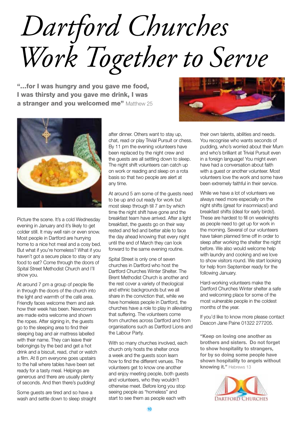*Dartford Churches Work Together to Serve*

"…for I was hungry and you gave me food, I was thirsty and you gave me drink, I was a stranger and you welcomed me" Matthew 25





Picture the scene. It's a cold Wednesday evening in January and it's likely to get colder still. It may well rain or even snow. Most people in Dartford are hurrying home to a nice hot meal and a cosy bed. But what if you're homeless? What if you haven't got a secure place to stay or any food to eat? Come through the doors of Spital Street Methodist Church and I'll show you.

At around 7 pm a group of people file in through the doors of the church into the light and warmth of the café area. Friendly faces welcome them and ask how their week has been. Newcomers are made extra welcome and shown the ropes. After signing in, the guests go to the sleeping area to find their sleeping bag and air mattress labelled with their name. They can leave their belongings by the bed and get a hot drink and a biscuit, read, chat or watch a film. At 8 pm everyone goes upstairs to the hall where tables have been set ready for a tasty meal. Helpings are generous and there are usually plenty of seconds. And then there's pudding!

Some guests are tired and so have a wash and settle down to sleep straight after dinner. Others want to stay up, chat, read or play Trivial Pursuit or chess. By 11 pm the evening volunteers have been replaced by the night crew and the guests are all settling down to sleep. The night shift volunteers can catch up on work or reading and sleep on a rota basis so that two people are alert at any time.

At around 5 am some of the guests need to be up and out ready for work but most sleep through till 7 am by which time the night shift have gone and the breakfast team have arrived. After a light breakfast, the guests go on their way rested and fed and better able to face the day ahead knowing that every night until the end of March they can look forward to the same evening routine.

Spital Street is only one of seven churches in Dartford who host the Dartford Churches Winter Shelter. The Brent Methodist Church is another and the rest cover a variety of theological and ethnic backgrounds but we all share in the conviction that, while we have homeless people in Dartford, the churches have a role to play in alleviating that suffering. The volunteers come from churches across Dartford and from organisations such as Dartford Lions and the Labour Party.

With so many churches involved, each church only hosts the shelter once a week and the guests soon learn how to find the different venues. The volunteers get to know one another and enjoy meeting people, both guests and volunteers, who they wouldn't otherwise meet. Before long you stop seeing people as "homeless" and start to see them as people each with

their own talents, abilities and needs. You recognise who wants seconds of pudding, who's worried about their Mum and who's brilliant at Trivial Pursuit even in a foreign language! You might even have had a conversation about faith with a guest or another volunteer. Most volunteers love the work and some have been extremely faithful in their service.

While we have a lot of volunteers we always need more especially on the night shifts (great for insomniacs!) and breakfast shifts (ideal for early birds!). These are hardest to fill on weeknights as people need to get up for work in the morning. Several of our volunteers have taken planned time off in order to sleep after working the shelter the night before. We also would welcome help with laundry and cooking and we love to show visitors round. We start looking for help from September ready for the following January.

Hard-working volunteers make the Dartford Churches Winter shelter a safe and welcoming place for some of the most vulnerable people in the coldest months of the year.

If you'd like to know more please contact Deacon Jane Paine 01322 277205.

**"Keep on loving one another as brothers and sisters. Do not forget to show hospitality to strangers, for by so doing some people have shown hospitality to angels without knowing it."** Hebrews 13

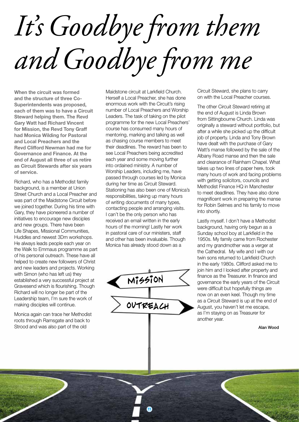# *It's Goodbye from them and Goodbye from me*

**When the circuit was formed and the structure of three Co-Superintendents was proposed, each of them was to have a Circuit Steward helping them. The Revd Gary Watt had Richard Vincent for Mission, the Revd Tony Graff had Monica Wilding for Pastoral and Local Preachers and the Revd Clifford Newman had me for Governance and Finance. At the end of August all three of us retire as Circuit Stewards after six years of service.**

Richard, who has a Methodist family background, is a member at Union Street Church and a Local Preacher and was part of the Maidstone Circuit before we joined together. During his time with Gary, they have pioneered a number of initiatives to encourage new disciples and new groups. There have been Life Shapes, Missional Communities, Huddles and newest 3Dm workshops. He always leads people each year on the Walk to Emmaus programme as part of his personal outreach. These have all helped to create new followers of Christ and new leaders and projects. Working with Simon (who has left us) they established a very successful project at Gravesend which is flourishing. Though Richard will no longer be part of the Leadership team, I'm sure the work of making disciples will continue.

Monica again can trace her Methodist roots through Ramsgate and back to Strood and was also part of the old

Maidstone circuit at Larkfield Church. Herself a Local Preacher, she has done enormous work with the Circuit's rising number of Local Preachers and Worship Leaders. The task of taking on the pilot programme for the new Local Preachers' course has consumed many hours of mentoring, marking and talking as well as chasing course members to meet their deadlines. The reward has been to see Local Preachers being accredited each year and some moving further into ordained ministry. A number of Worship Leaders, including me, have passed through courses led by Monica during her time as Circuit Steward. Stationing has also been one of Monica's responsibilities, taking up many hours of writing documents of many types, contacting people and arranging visits. I can't be the only person who has received an email written in the early hours of the morning! Lastly her work in pastoral care of our ministers, staff and other has been invaluable. Though Monica has already stood down as a

Mission OUTREACH

**11**

Circuit Steward, she plans to carry on with the Local Preacher courses.

The other Circuit Steward retiring at the end of August is Linda Brown from Sittingbourne Church. Linda was originally a steward without portfolio, but after a while she picked up the difficult job of property. Linda and Tony Brown have dealt with the purchase of Gary Watt's manse followed by the sale of the Albany Road manse and then the sale and clearance of Rainham Chapel. What takes up two lines of paper here, took many hours of work and facing problems with getting solicitors, councils and Methodist Finance HQ in Manchester to meet deadlines. They have also done magnificent work in preparing the manse for Robin Selmes and his family to move into shortly.

Lastly myself. I don't have a Methodist background, having only begun as a Sunday school boy at Larkfield in the 1950s. My family came from Rochester and my grandmother was a verger at the Cathedral. My wife and I with our twin sons returned to Larkfield Church in the early 1980s. Clifford asked me to join him and I looked after property and finance as the Treasurer. In finance and governance the early years of the Circuit were difficult but hopefully things are now on an even keel. Though my time as a Circuit Steward is up at the end of August, you haven't let me escape, as I'm staying on as Treasurer for another year.

Alan Wood